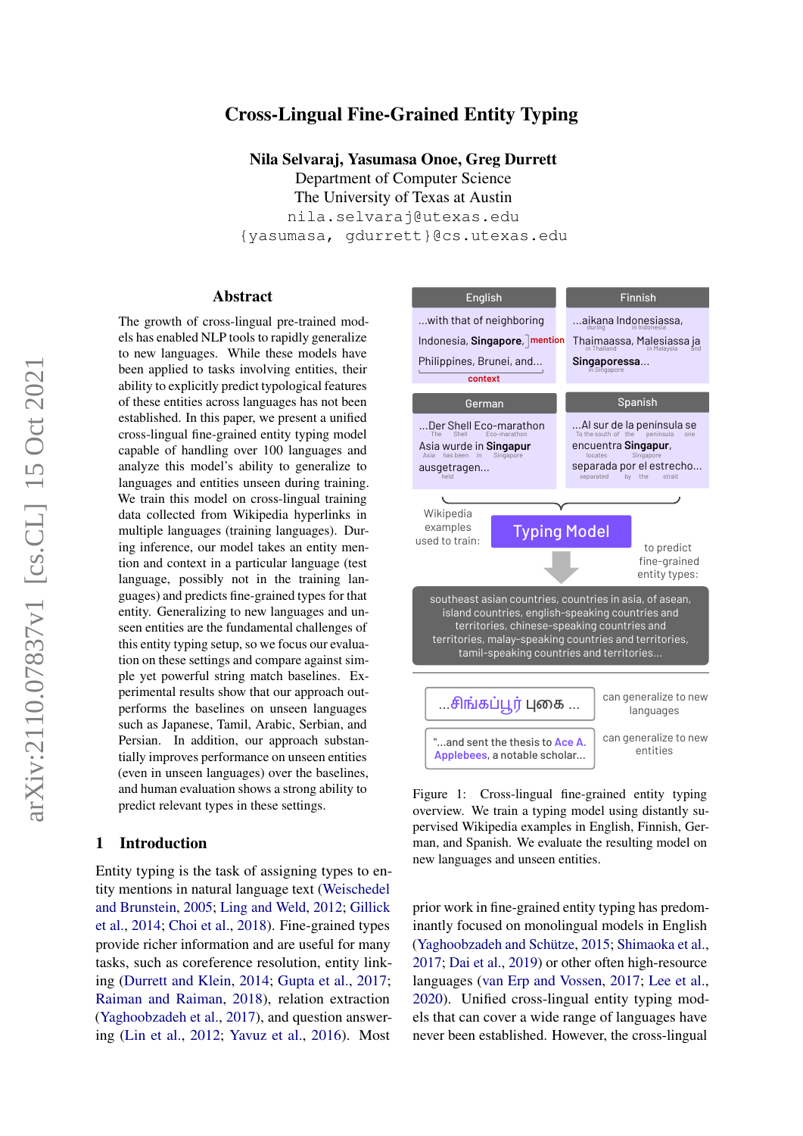# arXiv:2110.07837v1 [cs.CL] 15 Oct 2021arXiv:2110.07837v1 [cs.CL] 15 Oct 2021

# Cross-Lingual Fine-Grained Entity Typing

Nila Selvaraj, Yasumasa Onoe, Greg Durrett

Department of Computer Science The University of Texas at Austin nila.selvaraj@utexas.edu {yasumasa, gdurrett}@cs.utexas.edu

#### Abstract

The growth of cross-lingual pre-trained models has enabled NLP tools to rapidly generalize to new languages. While these models have been applied to tasks involving entities, their ability to explicitly predict typological features of these entities across languages has not been established. In this paper, we present a unified cross-lingual fine-grained entity typing model capable of handling over 100 languages and analyze this model's ability to generalize to languages and entities unseen during training. We train this model on cross-lingual training data collected from Wikipedia hyperlinks in multiple languages (training languages). During inference, our model takes an entity mention and context in a particular language (test language, possibly not in the training languages) and predicts fine-grained types for that entity. Generalizing to new languages and unseen entities are the fundamental challenges of this entity typing setup, so we focus our evaluation on these settings and compare against simple yet powerful string match baselines. Experimental results show that our approach outperforms the baselines on unseen languages such as Japanese, Tamil, Arabic, Serbian, and Persian. In addition, our approach substantially improves performance on unseen entities (even in unseen languages) over the baselines, and human evaluation shows a strong ability to predict relevant types in these settings.

#### 1 Introduction

Entity typing is the task of assigning types to entity mentions in natural language text [\(Weischedel](#page-10-0) [and Brunstein,](#page-10-0) [2005;](#page-10-0) [Ling and Weld,](#page-9-0) [2012;](#page-9-0) [Gillick](#page-8-0) [et al.,](#page-8-0) [2014;](#page-8-0) [Choi et al.,](#page-8-1) [2018\)](#page-8-1). Fine-grained types provide richer information and are useful for many tasks, such as coreference resolution, entity linking [\(Durrett and Klein,](#page-8-2) [2014;](#page-8-2) [Gupta et al.,](#page-8-3) [2017;](#page-8-3) [Raiman and Raiman,](#page-10-1) [2018\)](#page-10-1), relation extraction [\(Yaghoobzadeh et al.,](#page-10-2) [2017\)](#page-10-2), and question answering [\(Lin et al.,](#page-9-1) [2012;](#page-9-1) [Yavuz et al.,](#page-10-3) [2016\)](#page-10-3). Most

<span id="page-0-0"></span>

Figure 1: Cross-lingual fine-grained entity typing overview. We train a typing model using distantly supervised Wikipedia examples in English, Finnish, German, and Spanish. We evaluate the resulting model on new languages and unseen entities.

prior work in fine-grained entity typing has predominantly focused on monolingual models in English [\(Yaghoobzadeh and Schütze,](#page-10-4) [2015;](#page-10-4) [Shimaoka et al.,](#page-10-5) [2017;](#page-10-5) [Dai et al.,](#page-8-4) [2019\)](#page-8-4) or other often high-resource languages [\(van Erp and Vossen,](#page-10-6) [2017;](#page-10-6) [Lee et al.,](#page-9-2) [2020\)](#page-9-2). Unified cross-lingual entity typing models that can cover a wide range of languages have never been established. However, the cross-lingual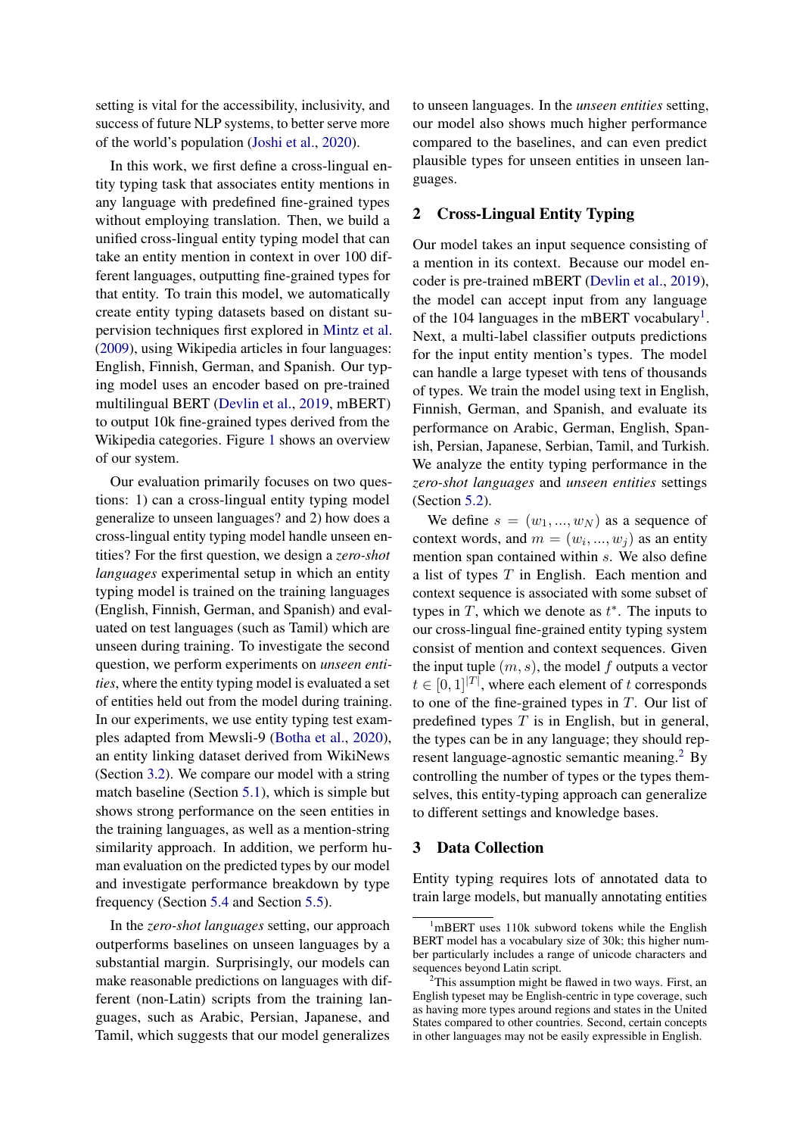setting is vital for the accessibility, inclusivity, and success of future NLP systems, to better serve more of the world's population [\(Joshi et al.,](#page-9-3) [2020\)](#page-9-3).

In this work, we first define a cross-lingual entity typing task that associates entity mentions in any language with predefined fine-grained types without employing translation. Then, we build a unified cross-lingual entity typing model that can take an entity mention in context in over 100 different languages, outputting fine-grained types for that entity. To train this model, we automatically create entity typing datasets based on distant supervision techniques first explored in [Mintz et al.](#page-9-4) [\(2009\)](#page-9-4), using Wikipedia articles in four languages: English, Finnish, German, and Spanish. Our typing model uses an encoder based on pre-trained multilingual BERT [\(Devlin et al.,](#page-8-5) [2019,](#page-8-5) mBERT) to output 10k fine-grained types derived from the Wikipedia categories. Figure [1](#page-0-0) shows an overview of our system.

Our evaluation primarily focuses on two questions: 1) can a cross-lingual entity typing model generalize to unseen languages? and 2) how does a cross-lingual entity typing model handle unseen entities? For the first question, we design a *zero-shot languages* experimental setup in which an entity typing model is trained on the training languages (English, Finnish, German, and Spanish) and evaluated on test languages (such as Tamil) which are unseen during training. To investigate the second question, we perform experiments on *unseen entities*, where the entity typing model is evaluated a set of entities held out from the model during training. In our experiments, we use entity typing test examples adapted from Mewsli-9 [\(Botha et al.,](#page-8-6) [2020\)](#page-8-6), an entity linking dataset derived from WikiNews (Section [3.2\)](#page-2-0). We compare our model with a string match baseline (Section [5.1\)](#page-3-0), which is simple but shows strong performance on the seen entities in the training languages, as well as a mention-string similarity approach. In addition, we perform human evaluation on the predicted types by our model and investigate performance breakdown by type frequency (Section [5.4](#page-6-0) and Section [5.5\)](#page-7-0).

In the *zero-shot languages* setting, our approach outperforms baselines on unseen languages by a substantial margin. Surprisingly, our models can make reasonable predictions on languages with different (non-Latin) scripts from the training languages, such as Arabic, Persian, Japanese, and Tamil, which suggests that our model generalizes

to unseen languages. In the *unseen entities* setting, our model also shows much higher performance compared to the baselines, and can even predict plausible types for unseen entities in unseen languages.

#### 2 Cross-Lingual Entity Typing

Our model takes an input sequence consisting of a mention in its context. Because our model encoder is pre-trained mBERT [\(Devlin et al.,](#page-8-5) [2019\)](#page-8-5), the model can accept input from any language of the [1](#page-1-0)04 languages in the mBERT vocabulary<sup>1</sup>. Next, a multi-label classifier outputs predictions for the input entity mention's types. The model can handle a large typeset with tens of thousands of types. We train the model using text in English, Finnish, German, and Spanish, and evaluate its performance on Arabic, German, English, Spanish, Persian, Japanese, Serbian, Tamil, and Turkish. We analyze the entity typing performance in the *zero-shot languages* and *unseen entities* settings (Section [5.2\)](#page-4-0).

We define  $s = (w_1, ..., w_N)$  as a sequence of context words, and  $m = (w_i, ..., w_j)$  as an entity mention span contained within s. We also define a list of types  $T$  in English. Each mention and context sequence is associated with some subset of types in  $T$ , which we denote as  $t^*$ . The inputs to our cross-lingual fine-grained entity typing system consist of mention and context sequences. Given the input tuple  $(m, s)$ , the model f outputs a vector  $t \in [0,1]^{T}$ , where each element of t corresponds to one of the fine-grained types in  $T$ . Our list of predefined types  $T$  is in English, but in general, the types can be in any language; they should represent language-agnostic semantic meaning.[2](#page-1-1) By controlling the number of types or the types themselves, this entity-typing approach can generalize to different settings and knowledge bases.

#### 3 Data Collection

Entity typing requires lots of annotated data to train large models, but manually annotating entities

<span id="page-1-0"></span> $1<sup>1</sup>$ mBERT uses 110k subword tokens while the English BERT model has a vocabulary size of 30k; this higher number particularly includes a range of unicode characters and sequences beyond Latin script.

<span id="page-1-1"></span> $2$ This assumption might be flawed in two ways. First, an English typeset may be English-centric in type coverage, such as having more types around regions and states in the United States compared to other countries. Second, certain concepts in other languages may not be easily expressible in English.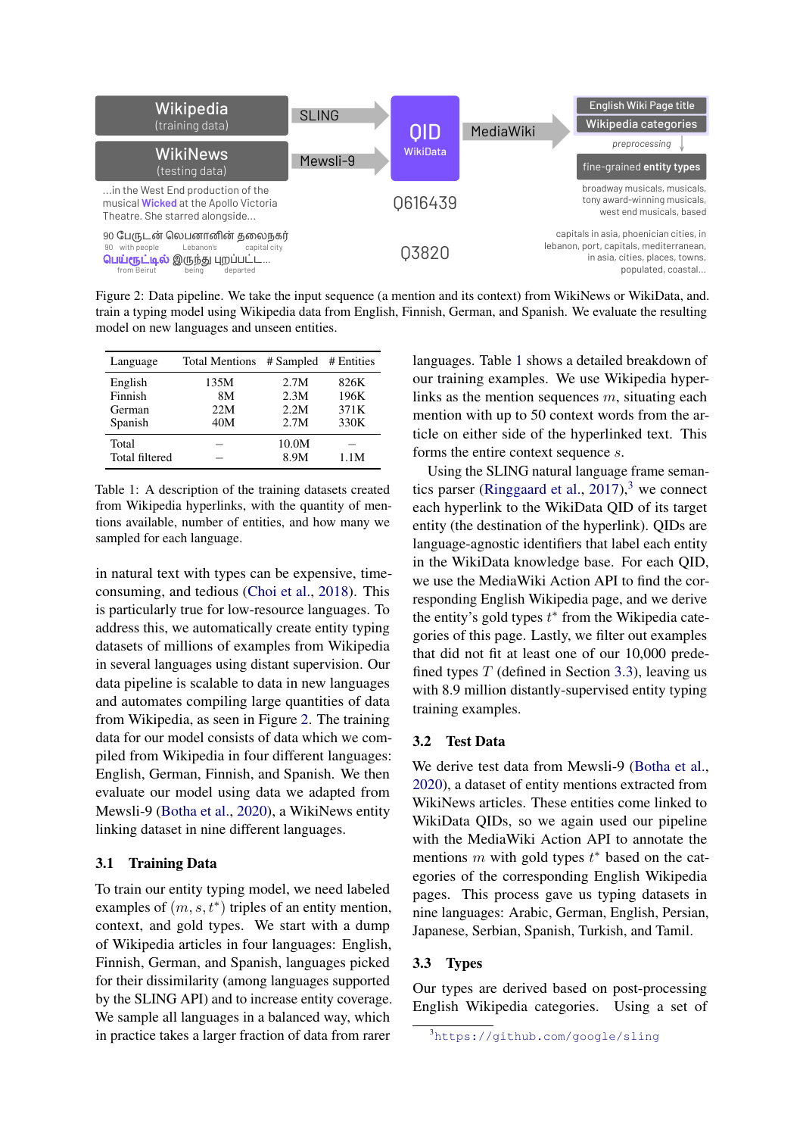<span id="page-2-1"></span>

Figure 2: Data pipeline. We take the input sequence (a mention and its context) from WikiNews or WikiData, and. train a typing model using Wikipedia data from English, Finnish, German, and Spanish. We evaluate the resulting model on new languages and unseen entities.

<span id="page-2-2"></span>

| Language       | <b>Total Mentions</b> | # Sampled # Entities |      |
|----------------|-----------------------|----------------------|------|
| English        | 135M                  | 2.7M                 | 826K |
| Finnish        | 8M                    | 2.3M                 | 196K |
| German         | 22M                   | 2.2M                 | 371K |
| Spanish        | 40M                   | 2.7M                 | 330K |
| Total          |                       | 10.0M                |      |
| Total filtered |                       | 8.9M                 | 1.1M |

Table 1: A description of the training datasets created from Wikipedia hyperlinks, with the quantity of mentions available, number of entities, and how many we sampled for each language.

in natural text with types can be expensive, timeconsuming, and tedious [\(Choi et al.,](#page-8-1) [2018\)](#page-8-1). This is particularly true for low-resource languages. To address this, we automatically create entity typing datasets of millions of examples from Wikipedia in several languages using distant supervision. Our data pipeline is scalable to data in new languages and automates compiling large quantities of data from Wikipedia, as seen in Figure [2.](#page-2-1) The training data for our model consists of data which we compiled from Wikipedia in four different languages: English, German, Finnish, and Spanish. We then evaluate our model using data we adapted from Mewsli-9 [\(Botha et al.,](#page-8-6) [2020\)](#page-8-6), a WikiNews entity linking dataset in nine different languages.

#### 3.1 Training Data

To train our entity typing model, we need labeled examples of  $(m, s, t^*)$  triples of an entity mention, context, and gold types. We start with a dump of Wikipedia articles in four languages: English, Finnish, German, and Spanish, languages picked for their dissimilarity (among languages supported by the SLING API) and to increase entity coverage. We sample all languages in a balanced way, which in practice takes a larger fraction of data from rarer

languages. Table [1](#page-2-2) shows a detailed breakdown of our training examples. We use Wikipedia hyperlinks as the mention sequences  $m$ , situating each mention with up to 50 context words from the article on either side of the hyperlinked text. This forms the entire context sequence s.

Using the SLING natural language frame seman-tics parser [\(Ringgaard et al.,](#page-10-7)  $2017$ ),<sup>[3](#page-2-3)</sup> we connect each hyperlink to the WikiData QID of its target entity (the destination of the hyperlink). QIDs are language-agnostic identifiers that label each entity in the WikiData knowledge base. For each QID, we use the MediaWiki Action API to find the corresponding English Wikipedia page, and we derive the entity's gold types  $t^*$  from the Wikipedia categories of this page. Lastly, we filter out examples that did not fit at least one of our 10,000 predefined types  $T$  (defined in Section [3.3\)](#page-2-4), leaving us with 8.9 million distantly-supervised entity typing training examples.

#### <span id="page-2-0"></span>3.2 Test Data

We derive test data from Mewsli-9 [\(Botha et al.,](#page-8-6) [2020\)](#page-8-6), a dataset of entity mentions extracted from WikiNews articles. These entities come linked to WikiData QIDs, so we again used our pipeline with the MediaWiki Action API to annotate the mentions  $m$  with gold types  $t^*$  based on the categories of the corresponding English Wikipedia pages. This process gave us typing datasets in nine languages: Arabic, German, English, Persian, Japanese, Serbian, Spanish, Turkish, and Tamil.

#### <span id="page-2-4"></span>3.3 Types

Our types are derived based on post-processing English Wikipedia categories. Using a set of

<span id="page-2-3"></span><sup>3</sup><https://github.com/google/sling>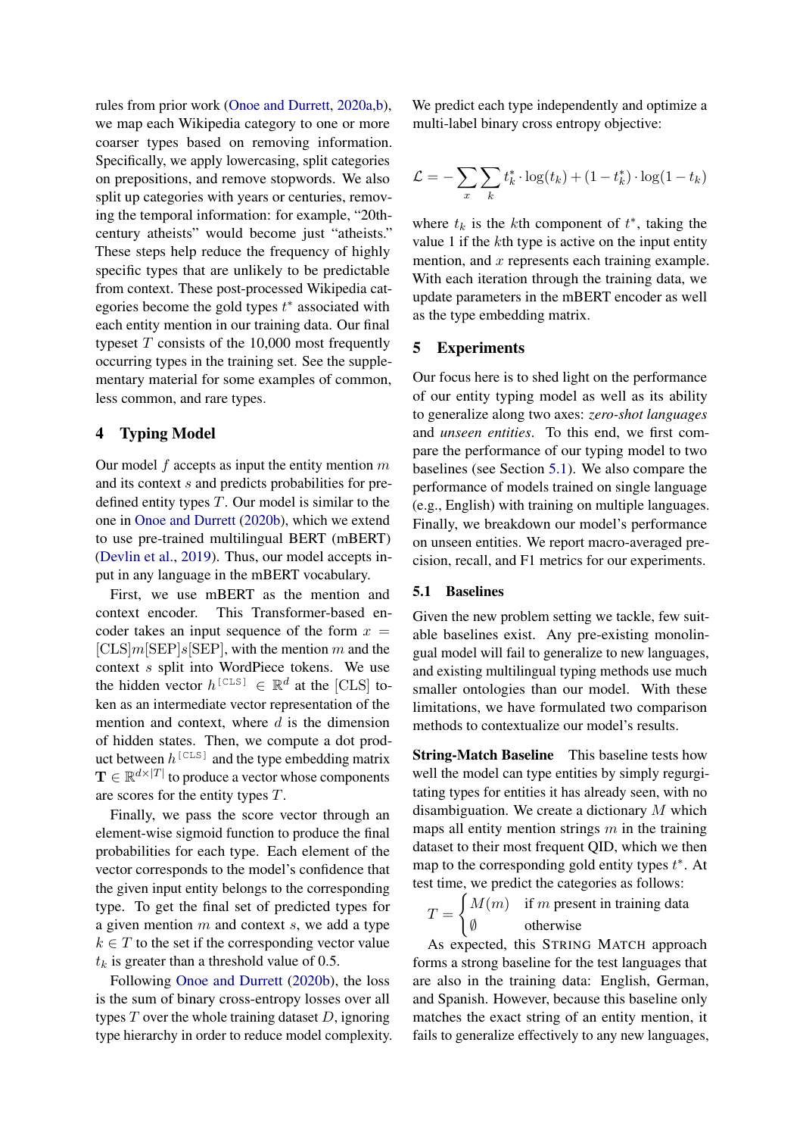rules from prior work [\(Onoe and Durrett,](#page-9-5) [2020a](#page-9-5)[,b\)](#page-9-6), we map each Wikipedia category to one or more coarser types based on removing information. Specifically, we apply lowercasing, split categories on prepositions, and remove stopwords. We also split up categories with years or centuries, removing the temporal information: for example, "20thcentury atheists" would become just "atheists." These steps help reduce the frequency of highly specific types that are unlikely to be predictable from context. These post-processed Wikipedia categories become the gold types  $t^*$  associated with each entity mention in our training data. Our final typeset  $T$  consists of the 10,000 most frequently occurring types in the training set. See the supplementary material for some examples of common, less common, and rare types.

## 4 Typing Model

Our model  $f$  accepts as input the entity mention  $m$ and its context s and predicts probabilities for predefined entity types  $T$ . Our model is similar to the one in [Onoe and Durrett](#page-9-6) [\(2020b\)](#page-9-6), which we extend to use pre-trained multilingual BERT (mBERT) [\(Devlin et al.,](#page-8-5) [2019\)](#page-8-5). Thus, our model accepts input in any language in the mBERT vocabulary.

First, we use mBERT as the mention and context encoder. This Transformer-based encoder takes an input sequence of the form  $x =$  $[CLS]m[SEP]s[SEP]$ , with the mention m and the context s split into WordPiece tokens. We use the hidden vector  $h^{\text{[CLS]}} \in \mathbb{R}^d$  at the [CLS] token as an intermediate vector representation of the mention and context, where  $d$  is the dimension of hidden states. Then, we compute a dot product between  $h^{\text{[CLS]}}$  and the type embedding matrix  $\mathbf{T} \in \mathbb{R}^{d \times |T|}$  to produce a vector whose components are scores for the entity types T.

Finally, we pass the score vector through an element-wise sigmoid function to produce the final probabilities for each type. Each element of the vector corresponds to the model's confidence that the given input entity belongs to the corresponding type. To get the final set of predicted types for a given mention  $m$  and context  $s$ , we add a type  $k \in T$  to the set if the corresponding vector value  $t_k$  is greater than a threshold value of 0.5.

Following [Onoe and Durrett](#page-9-6) [\(2020b\)](#page-9-6), the loss is the sum of binary cross-entropy losses over all types  $T$  over the whole training dataset  $D$ , ignoring type hierarchy in order to reduce model complexity. We predict each type independently and optimize a multi-label binary cross entropy objective:

$$
\mathcal{L} = -\sum_{x} \sum_{k} t_k^* \cdot \log(t_k) + (1 - t_k^*) \cdot \log(1 - t_k)
$$

where  $t_k$  is the kth component of  $t^*$ , taking the value 1 if the kth type is active on the input entity mention, and  $x$  represents each training example. With each iteration through the training data, we update parameters in the mBERT encoder as well as the type embedding matrix.

#### 5 Experiments

Our focus here is to shed light on the performance of our entity typing model as well as its ability to generalize along two axes: *zero-shot languages* and *unseen entities*. To this end, we first compare the performance of our typing model to two baselines (see Section [5.1\)](#page-3-0). We also compare the performance of models trained on single language (e.g., English) with training on multiple languages. Finally, we breakdown our model's performance on unseen entities. We report macro-averaged precision, recall, and F1 metrics for our experiments.

## <span id="page-3-0"></span>5.1 Baselines

Given the new problem setting we tackle, few suitable baselines exist. Any pre-existing monolingual model will fail to generalize to new languages, and existing multilingual typing methods use much smaller ontologies than our model. With these limitations, we have formulated two comparison methods to contextualize our model's results.

String-Match Baseline This baseline tests how well the model can type entities by simply regurgitating types for entities it has already seen, with no disambiguation. We create a dictionary M which maps all entity mention strings  $m$  in the training dataset to their most frequent QID, which we then map to the corresponding gold entity types  $t^*$ . At test time, we predict the categories as follows:

 $T =$  $\int M(m)$  if m present in training data ∅ otherwise

As expected, this STRING MATCH approach forms a strong baseline for the test languages that are also in the training data: English, German, and Spanish. However, because this baseline only matches the exact string of an entity mention, it fails to generalize effectively to any new languages,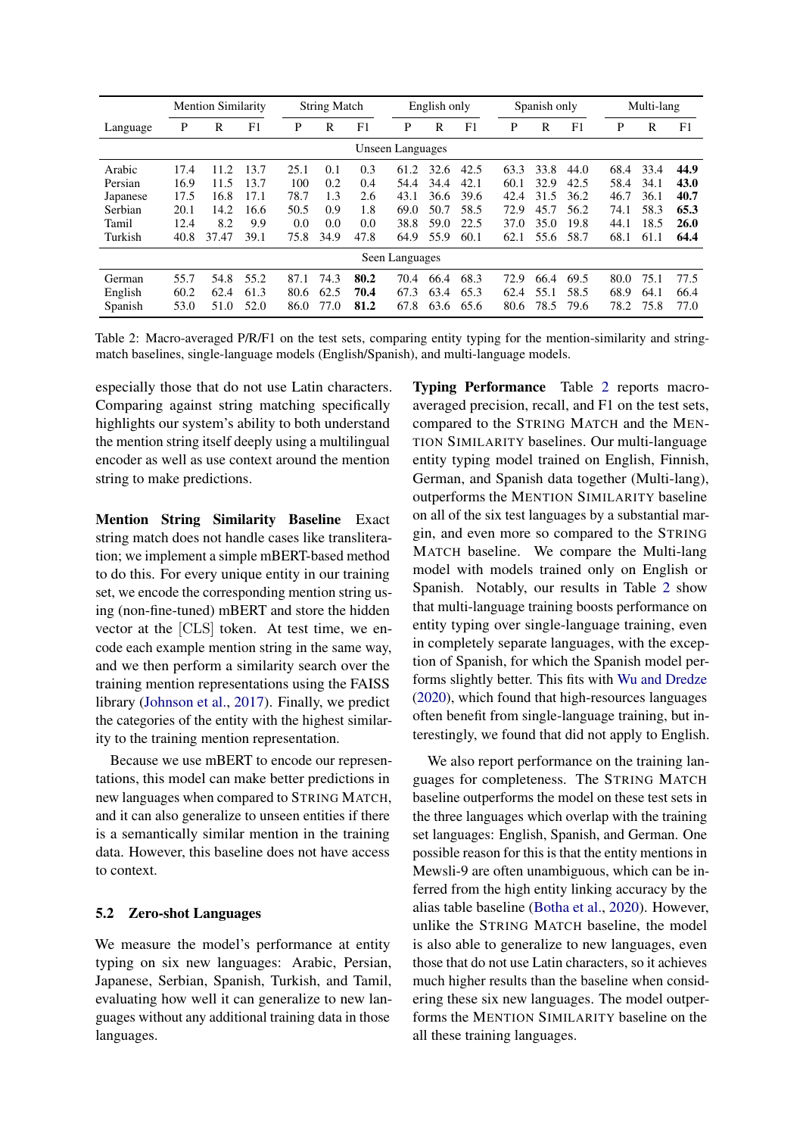<span id="page-4-1"></span>

|                |      | <b>Mention Similarity</b> |      |      | <b>String Match</b> |      |                  | English only |      |      | Spanish only |      |      | Multi-lang |      |
|----------------|------|---------------------------|------|------|---------------------|------|------------------|--------------|------|------|--------------|------|------|------------|------|
| Language       | P    | R                         | F1   | P    | R                   | F1   | P                | R            | F1   | P    | R            | F1   | P    | R          | F1   |
|                |      |                           |      |      |                     |      | Unseen Languages |              |      |      |              |      |      |            |      |
| Arabic         | 17.4 | 11.2                      | 13.7 | 25.1 | 0.1                 | 0.3  | 61.2             | 32.6         | 42.5 | 63.3 | 33.8         | 44.0 | 68.4 | 33.4       | 44.9 |
| Persian        | 16.9 | 11.5                      | 13.7 | 100  | 0.2                 | 0.4  | 54.4             | 34.4         | 42.1 | 60.1 | 32.9         | 42.5 | 58.4 | 34.1       | 43.0 |
| Japanese       | 17.5 | 16.8                      | 17.1 | 78.7 | 1.3                 | 2.6  | 43.1             | 36.6         | 39.6 | 42.4 | 31.5         | 36.2 | 46.7 | 36.1       | 40.7 |
| Serbian        | 20.1 | 14.2                      | 16.6 | 50.5 | 0.9                 | 1.8  | 69.0             | 50.7         | 58.5 | 72.9 | 45.7         | 56.2 | 74.1 | 58.3       | 65.3 |
| Tamil          | 12.4 | 8.2                       | 9.9  | 0.0  | 0.0                 | 0.0  | 38.8             | 59.0         | 22.5 | 37.0 | 35.0         | 19.8 | 44.1 | 18.5       | 26.0 |
| Turkish        | 40.8 | 37.47                     | 39.1 | 75.8 | 34.9                | 47.8 | 64.9             | 55.9         | 60.1 | 62.1 | 55.6         | 58.7 | 68.1 | 61.1       | 64.4 |
| Seen Languages |      |                           |      |      |                     |      |                  |              |      |      |              |      |      |            |      |
| German         | 55.7 | 54.8                      | 55.2 | 87.1 | 74.3                | 80.2 | 70.4             | 66.4         | 68.3 | 72.9 | 66.4         | 69.5 | 80.0 | 75.1       | 77.5 |
| English        | 60.2 | 62.4                      | 61.3 | 80.6 | 62.5                | 70.4 | 67.3             | 63.4         | 65.3 | 62.4 | 55.1         | 58.5 | 68.9 | 64.1       | 66.4 |
| Spanish        | 53.0 | 51.0                      | 52.0 | 86.0 | 77.0                | 81.2 | 67.8             | 63.6         | 65.6 | 80.6 | 78.5         | 79.6 | 78.2 | 75.8       | 77.0 |

Table 2: Macro-averaged P/R/F1 on the test sets, comparing entity typing for the mention-similarity and stringmatch baselines, single-language models (English/Spanish), and multi-language models.

especially those that do not use Latin characters. Comparing against string matching specifically highlights our system's ability to both understand the mention string itself deeply using a multilingual encoder as well as use context around the mention string to make predictions.

Mention String Similarity Baseline Exact string match does not handle cases like transliteration; we implement a simple mBERT-based method to do this. For every unique entity in our training set, we encode the corresponding mention string using (non-fine-tuned) mBERT and store the hidden vector at the [CLS] token. At test time, we encode each example mention string in the same way, and we then perform a similarity search over the training mention representations using the FAISS library [\(Johnson et al.,](#page-9-7) [2017\)](#page-9-7). Finally, we predict the categories of the entity with the highest similarity to the training mention representation.

Because we use mBERT to encode our representations, this model can make better predictions in new languages when compared to STRING MATCH, and it can also generalize to unseen entities if there is a semantically similar mention in the training data. However, this baseline does not have access to context.

#### <span id="page-4-0"></span>5.2 Zero-shot Languages

We measure the model's performance at entity typing on six new languages: Arabic, Persian, Japanese, Serbian, Spanish, Turkish, and Tamil, evaluating how well it can generalize to new languages without any additional training data in those languages.

Typing Performance Table [2](#page-4-1) reports macroaveraged precision, recall, and F1 on the test sets, compared to the STRING MATCH and the MEN-TION SIMILARITY baselines. Our multi-language entity typing model trained on English, Finnish, German, and Spanish data together (Multi-lang), outperforms the MENTION SIMILARITY baseline on all of the six test languages by a substantial margin, and even more so compared to the STRING MATCH baseline. We compare the Multi-lang model with models trained only on English or Spanish. Notably, our results in Table [2](#page-4-1) show that multi-language training boosts performance on entity typing over single-language training, even in completely separate languages, with the exception of Spanish, for which the Spanish model performs slightly better. This fits with [Wu and Dredze](#page-10-8) [\(2020\)](#page-10-8), which found that high-resources languages often benefit from single-language training, but interestingly, we found that did not apply to English.

We also report performance on the training languages for completeness. The STRING MATCH baseline outperforms the model on these test sets in the three languages which overlap with the training set languages: English, Spanish, and German. One possible reason for this is that the entity mentions in Mewsli-9 are often unambiguous, which can be inferred from the high entity linking accuracy by the alias table baseline [\(Botha et al.,](#page-8-6) [2020\)](#page-8-6). However, unlike the STRING MATCH baseline, the model is also able to generalize to new languages, even those that do not use Latin characters, so it achieves much higher results than the baseline when considering these six new languages. The model outperforms the MENTION SIMILARITY baseline on the all these training languages.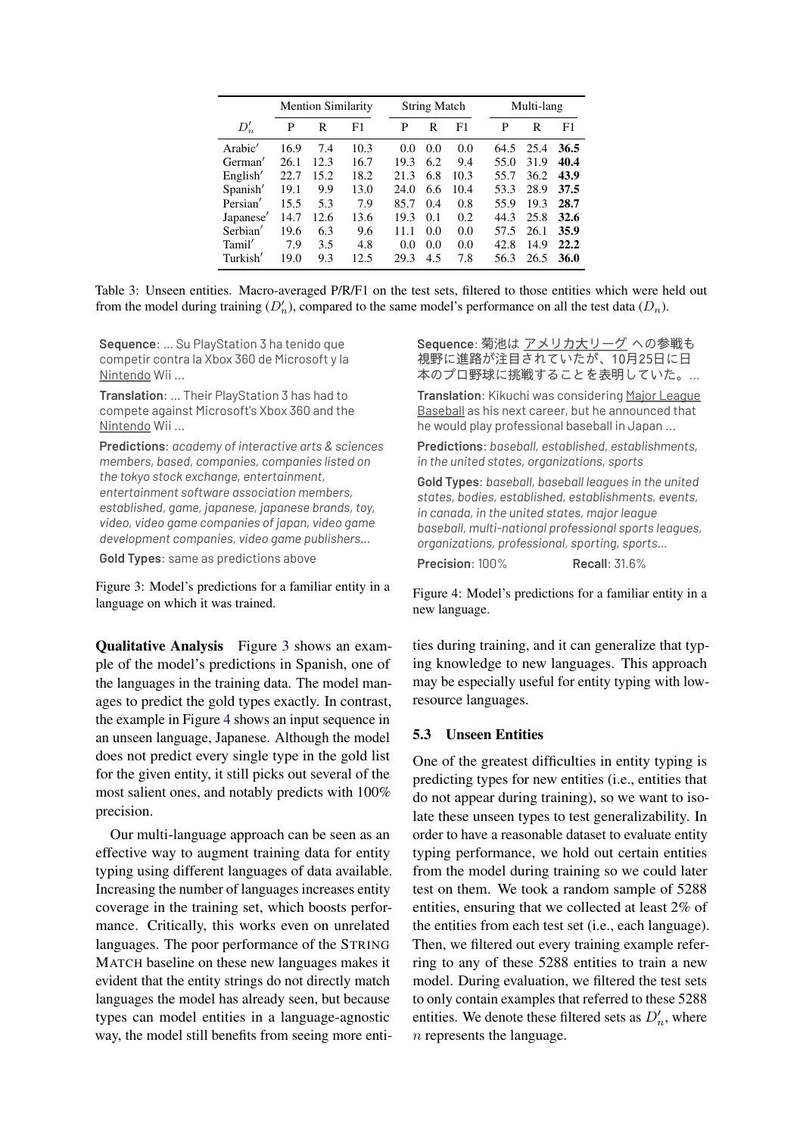<span id="page-5-2"></span>

|           | <b>Mention Similarity</b> |      |      |      | <b>String Match</b> |      |      | Multi-lang |      |  |
|-----------|---------------------------|------|------|------|---------------------|------|------|------------|------|--|
| $D'_n$    | P                         | R    | F1   | P    | R                   | F1   | P    | R          | F1   |  |
| Arabic'   | 16.9                      | 7.4  | 10.3 | 0.0  | 0.0                 | 0.0  | 64.5 | 25.4       | 36.5 |  |
| German'   | 26.1                      | 12.3 | 16.7 | 19.3 | 6.2                 | 9.4  | 55.0 | 31.9       | 40.4 |  |
| English'  | 22.7                      | 15.2 | 18.2 | 21.3 | 6.8                 | 10.3 | 55.7 | 36.2       | 43.9 |  |
| Spanish'  | 19.1                      | 9.9  | 13.0 | 24.0 | 6.6                 | 10.4 | 53.3 | 28.9       | 37.5 |  |
| Persian'  | 15.5                      | 5.3  | 7.9  | 85.7 | 0.4                 | 0.8  | 55.9 | 19.3       | 28.7 |  |
| Japanese' | 14.7                      | 12.6 | 13.6 | 19.3 | 0.1                 | 0.2  | 44.3 | 25.8       | 32.6 |  |
| Serbian'  | 19.6                      | 6.3  | 9.6  | 11.1 | 0.0                 | 0.0  | 57.5 | 26.1       | 35.9 |  |
| Tamil'    | 7.9                       | 3.5  | 4.8  | 0.0  | 0.0                 | 0.0  | 42.8 | 14.9       | 22.2 |  |
| Turkish'  | 19.0                      | 9.3  | 12.5 | 29.3 | 4.5                 | 7.8  | 56.3 | 26.5       | 36.0 |  |

Table 3: Unseen entities. Macro-averaged P/R/F1 on the test sets, filtered to those entities which were held out from the model during training  $(D'_n)$ , compared to the same model's performance on all the test data  $(D_n)$ .

<span id="page-5-0"></span>**Sequence**: … Su PlayStation 3 ha tenido que competir contra la Xbox 360 de Microsoft y la Nintendo Wii ...

**Translation**: … Their PlayStation 3 has had to compete against Microsoft's Xbox 360 and the Nintendo Wii ...

**Predictions**: *academy of interactive arts & sciences members, based, companies, companies listed on the tokyo stock exchange, entertainment, entertainment software association members, established, game, japanese, japanese brands, toy, video, video game companies of japan, video game development companies, video game publishers…*

**Gold Types**: same as predictions above

Figure 3: Model's predictions for a familiar entity in a language on which it was trained.

Qualitative Analysis Figure [3](#page-5-0) shows an example of the model's predictions in Spanish, one of the languages in the training data. The model manages to predict the gold types exactly. In contrast, the example in Figure [4](#page-5-1) shows an input sequence in an unseen language, Japanese. Although the model does not predict every single type in the gold list for the given entity, it still picks out several of the most salient ones, and notably predicts with 100% precision.

Our multi-language approach can be seen as an effective way to augment training data for entity typing using different languages of data available. Increasing the number of languages increases entity coverage in the training set, which boosts performance. Critically, this works even on unrelated languages. The poor performance of the STRING MATCH baseline on these new languages makes it evident that the entity strings do not directly match languages the model has already seen, but because types can model entities in a language-agnostic way, the model still benefits from seeing more enti<span id="page-5-1"></span>**Sequence**: 菊池は アメリカ大リーグ への参戦も 視野に進路が注目されていたが、10月25日に日 本のプロ野球に挑戦することを表明していた。...

**Translation**: Kikuchi was considering Major League Baseball as his next career, but he announced that he would play professional baseball in Japan ...

**Predictions**: *baseball, established, establishments, in the united states, organizations, sports*

**Gold Types**: *baseball, baseball leagues in the united states, bodies, established, establishments, events, in canada, in the united states, major league baseball, multi-national professional sports leagues, organizations, professional, sporting, sports…*

**Precision**: 100% **Recall**: 31.6%

Figure 4: Model's predictions for a familiar entity in a new language.

ties during training, and it can generalize that typing knowledge to new languages. This approach may be especially useful for entity typing with lowresource languages.

#### 5.3 Unseen Entities

One of the greatest difficulties in entity typing is predicting types for new entities (i.e., entities that do not appear during training), so we want to isolate these unseen types to test generalizability. In order to have a reasonable dataset to evaluate entity typing performance, we hold out certain entities from the model during training so we could later test on them. We took a random sample of 5288 entities, ensuring that we collected at least 2% of the entities from each test set (i.e., each language). Then, we filtered out every training example referring to any of these 5288 entities to train a new model. During evaluation, we filtered the test sets to only contain examples that referred to these 5288 entities. We denote these filtered sets as  $D'_n$ , where n represents the language.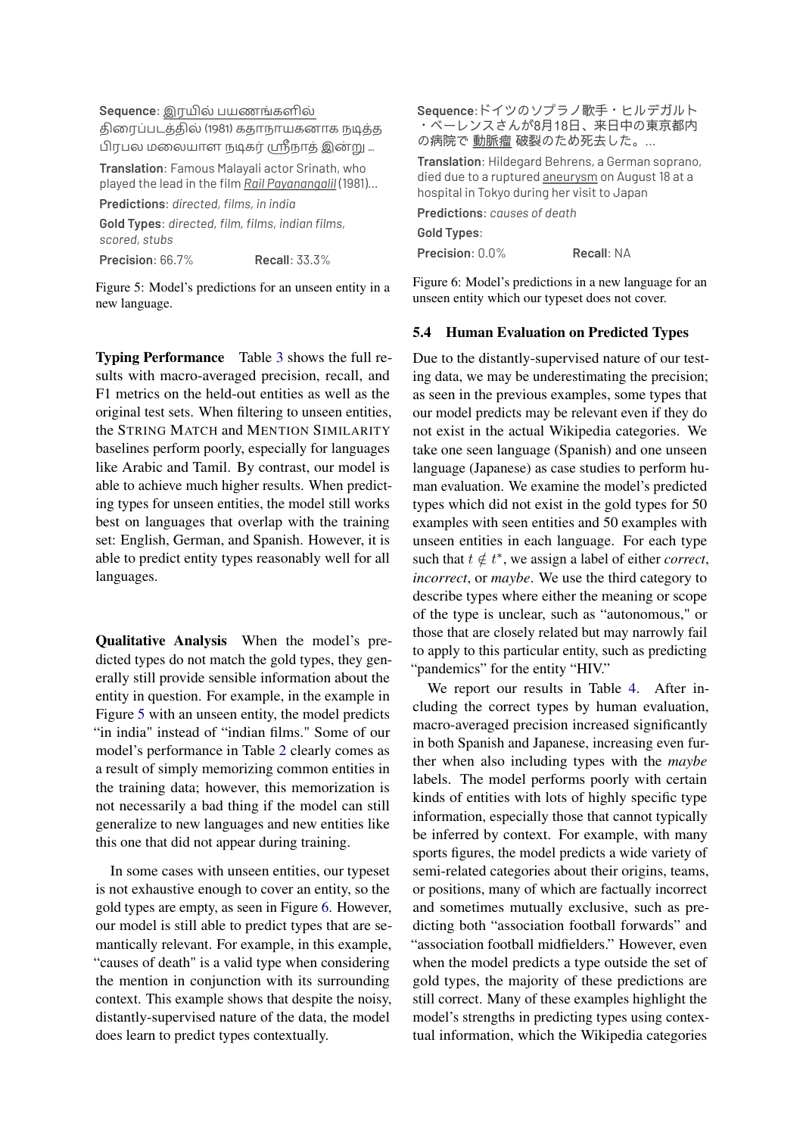<span id="page-6-1"></span>Sequence: இரயில் பயணங்களில்

திரைப்படத்தில் (1981) கதாநாயகனாக நடித்த பிரபல மலையாள நடிகர் ஸ்ரீநாத் இன்று ...

**Translation**: Famous Malayali actor Srinath, who played the lead in the film *Rail Payanangalil* (1981)…

**Predictions**: *directed, films, in india*

**Gold Types**: *directed, film, films, indian films, scored, stubs*

**Precision**: 66.7% **Recall**: 33.3%

Figure 5: Model's predictions for an unseen entity in a new language.

Typing Performance Table [3](#page-5-2) shows the full results with macro-averaged precision, recall, and F1 metrics on the held-out entities as well as the original test sets. When filtering to unseen entities, the STRING MATCH and MENTION SIMILARITY baselines perform poorly, especially for languages like Arabic and Tamil. By contrast, our model is able to achieve much higher results. When predicting types for unseen entities, the model still works best on languages that overlap with the training set: English, German, and Spanish. However, it is able to predict entity types reasonably well for all languages.

Qualitative Analysis When the model's predicted types do not match the gold types, they generally still provide sensible information about the entity in question. For example, in the example in Figure [5](#page-6-1) with an unseen entity, the model predicts "in india" instead of "indian films." Some of our model's performance in Table [2](#page-4-1) clearly comes as a result of simply memorizing common entities in the training data; however, this memorization is not necessarily a bad thing if the model can still generalize to new languages and new entities like this one that did not appear during training.

In some cases with unseen entities, our typeset is not exhaustive enough to cover an entity, so the gold types are empty, as seen in Figure [6.](#page-6-2) However, our model is still able to predict types that are semantically relevant. For example, in this example, "causes of death" is a valid type when considering the mention in conjunction with its surrounding context. This example shows that despite the noisy, distantly-supervised nature of the data, the model does learn to predict types contextually.

<span id="page-6-2"></span>**Sequence**:ドイツのソプラノ歌手・ヒルデガルト ・ベーレンスさんが8月18日、来日中の東京都内 の病院で動脈瘤破裂のため死去した。...

**Translation**: Hildegard Behrens, a German soprano, died due to a ruptured aneurysm on August 18 at a hospital in Tokyo during her visit to Japan

**Predictions**: *causes of death* **Gold Types**: **Precision**: 0.0% **Recall**: NA

Figure 6: Model's predictions in a new language for an unseen entity which our typeset does not cover.

#### <span id="page-6-0"></span>5.4 Human Evaluation on Predicted Types

Due to the distantly-supervised nature of our testing data, we may be underestimating the precision; as seen in the previous examples, some types that our model predicts may be relevant even if they do not exist in the actual Wikipedia categories. We take one seen language (Spanish) and one unseen language (Japanese) as case studies to perform human evaluation. We examine the model's predicted types which did not exist in the gold types for 50 examples with seen entities and 50 examples with unseen entities in each language. For each type such that  $t \notin t^*$ , we assign a label of either *correct*, *incorrect*, or *maybe*. We use the third category to describe types where either the meaning or scope of the type is unclear, such as "autonomous," or those that are closely related but may narrowly fail to apply to this particular entity, such as predicting "pandemics" for the entity "HIV."

We report our results in Table [4.](#page-7-1) After including the correct types by human evaluation, macro-averaged precision increased significantly in both Spanish and Japanese, increasing even further when also including types with the *maybe* labels. The model performs poorly with certain kinds of entities with lots of highly specific type information, especially those that cannot typically be inferred by context. For example, with many sports figures, the model predicts a wide variety of semi-related categories about their origins, teams, or positions, many of which are factually incorrect and sometimes mutually exclusive, such as predicting both "association football forwards" and "association football midfielders." However, even when the model predicts a type outside the set of gold types, the majority of these predictions are still correct. Many of these examples highlight the model's strengths in predicting types using contextual information, which the Wikipedia categories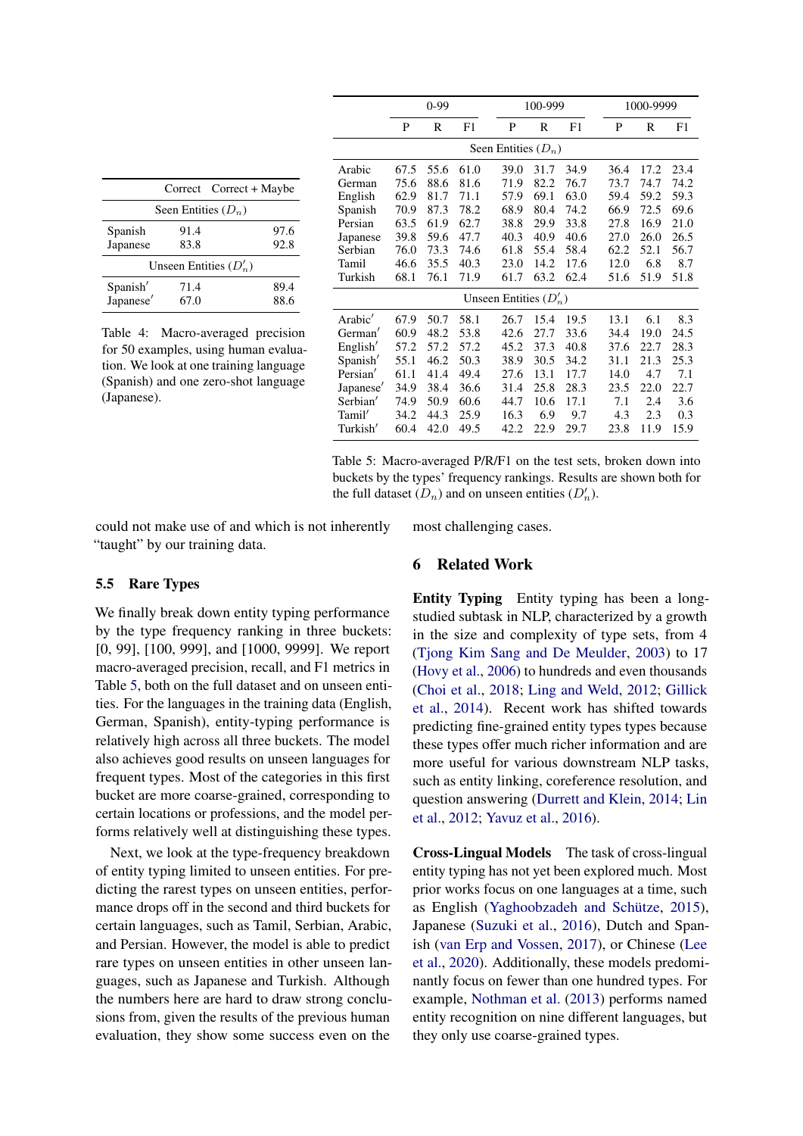<span id="page-7-1"></span>

|                       |                       | Correct Correct + Maybe  |
|-----------------------|-----------------------|--------------------------|
|                       | Seen Entities $(D_n)$ |                          |
| Spanish<br>Japanese   | 91.4<br>83.8          | 97.6<br>92.8             |
|                       |                       | Unseen Entities $(D'_n)$ |
| Spanish'<br>Japanese' | 71.4<br>67.0          | 89.4<br>88.6             |

Table 4: Macro-averaged precision for 50 examples, using human evaluation. We look at one training language (Spanish) and one zero-shot language (Japanese).

|           | $0-99$                |      |      | 100-999                  |      |      | 1000-9999 |      |      |
|-----------|-----------------------|------|------|--------------------------|------|------|-----------|------|------|
|           | P                     | R    | F1   | P                        | R    | F1   | P         | R    | F1   |
|           | Seen Entities $(D_n)$ |      |      |                          |      |      |           |      |      |
| Arabic    | 67.5                  | 55.6 | 61.0 | 39.0                     | 31.7 | 34.9 | 36.4      | 17.2 | 23.4 |
| German    | 75.6                  | 88.6 | 81.6 | 71.9                     | 82.2 | 76.7 | 73.7      | 74.7 | 74.2 |
| English   | 62.9                  | 81.7 | 71.1 | 57.9                     | 69.1 | 63.0 | 59.4      | 59.2 | 59.3 |
| Spanish   | 70.9                  | 87.3 | 78.2 | 68.9                     | 80.4 | 74.2 | 66.9      | 72.5 | 69.6 |
| Persian   | 63.5                  | 61.9 | 62.7 | 38.8                     | 29.9 | 33.8 | 27.8      | 16.9 | 21.0 |
| Japanese  | 39.8                  | 59.6 | 47.7 | 40.3                     | 40.9 | 40.6 | 27.0      | 26.0 | 26.5 |
| Serbian   | 76.0                  | 73.3 | 74.6 | 61.8                     | 55.4 | 58.4 | 62.2      | 52.1 | 56.7 |
| Tamil     | 46.6                  | 35.5 | 40.3 | 23.0                     | 14.2 | 17.6 | 12.0      | 6.8  | 8.7  |
| Turkish   | 68.1                  | 76.1 | 71.9 | 61.7                     | 63.2 | 62.4 | 51.6      | 51.9 | 51.8 |
|           |                       |      |      | Unseen Entities $(D'_n)$ |      |      |           |      |      |
| Arabic'   | 67.9                  | 50.7 | 58.1 | 26.7                     | 15.4 | 19.5 | 13.1      | 6.1  | 8.3  |
| German'   | 60.9                  | 48.2 | 53.8 | 42.6                     | 27.7 | 33.6 | 34.4      | 19.0 | 24.5 |
| English'  | 57.2                  | 57.2 | 57.2 | 45.2                     | 37.3 | 40.8 | 37.6      | 22.7 | 28.3 |
| Spanish'  | 55.1                  | 46.2 | 50.3 | 38.9                     | 30.5 | 34.2 | 31.1      | 21.3 | 25.3 |
| Persian'  | 61.1                  | 41.4 | 49.4 | 27.6                     | 13.1 | 17.7 | 14.0      | 4.7  | 7.1  |
| Japanese' | 34.9                  | 38.4 | 36.6 | 31.4                     | 25.8 | 28.3 | 23.5      | 22.0 | 22.7 |
| Serbian'  | 74.9                  | 50.9 | 60.6 | 44.7                     | 10.6 | 17.1 | 7.1       | 2.4  | 3.6  |
| Tamil'    | 34.2                  | 44.3 | 25.9 | 16.3                     | 6.9  | 9.7  | 4.3       | 2.3  | 0.3  |
| Turkish'  | 60.4                  | 42.0 | 49.5 | 42.2                     | 22.9 | 29.7 | 23.8      | 11.9 | 15.9 |

Table 5: Macro-averaged P/R/F1 on the test sets, broken down into buckets by the types' frequency rankings. Results are shown both for the full dataset  $(D_n)$  and on unseen entities  $(D'_n)$ .

could not make use of and which is not inherently "taught" by our training data.

#### <span id="page-7-0"></span>5.5 Rare Types

We finally break down entity typing performance by the type frequency ranking in three buckets: [0, 99], [100, 999], and [1000, 9999]. We report macro-averaged precision, recall, and F1 metrics in Table [5,](#page-7-1) both on the full dataset and on unseen entities. For the languages in the training data (English, German, Spanish), entity-typing performance is relatively high across all three buckets. The model also achieves good results on unseen languages for frequent types. Most of the categories in this first bucket are more coarse-grained, corresponding to certain locations or professions, and the model performs relatively well at distinguishing these types.

Next, we look at the type-frequency breakdown of entity typing limited to unseen entities. For predicting the rarest types on unseen entities, performance drops off in the second and third buckets for certain languages, such as Tamil, Serbian, Arabic, and Persian. However, the model is able to predict rare types on unseen entities in other unseen languages, such as Japanese and Turkish. Although the numbers here are hard to draw strong conclusions from, given the results of the previous human evaluation, they show some success even on the

most challenging cases.

#### 6 Related Work

Entity Typing Entity typing has been a longstudied subtask in NLP, characterized by a growth in the size and complexity of type sets, from 4 [\(Tjong Kim Sang and De Meulder,](#page-10-9) [2003\)](#page-10-9) to 17 [\(Hovy et al.,](#page-9-8) [2006\)](#page-9-8) to hundreds and even thousands [\(Choi et al.,](#page-8-1) [2018;](#page-8-1) [Ling and Weld,](#page-9-0) [2012;](#page-9-0) [Gillick](#page-8-0) [et al.,](#page-8-0) [2014\)](#page-8-0). Recent work has shifted towards predicting fine-grained entity types types because these types offer much richer information and are more useful for various downstream NLP tasks, such as entity linking, coreference resolution, and question answering [\(Durrett and Klein,](#page-8-2) [2014;](#page-8-2) [Lin](#page-9-1) [et al.,](#page-9-1) [2012;](#page-9-1) [Yavuz et al.,](#page-10-3) [2016\)](#page-10-3).

Cross-Lingual Models The task of cross-lingual entity typing has not yet been explored much. Most prior works focus on one languages at a time, such as English [\(Yaghoobzadeh and Schütze,](#page-10-4) [2015\)](#page-10-4), Japanese [\(Suzuki et al.,](#page-10-10) [2016\)](#page-10-10), Dutch and Spanish [\(van Erp and Vossen,](#page-10-6) [2017\)](#page-10-6), or Chinese [\(Lee](#page-9-2) [et al.,](#page-9-2) [2020\)](#page-9-2). Additionally, these models predominantly focus on fewer than one hundred types. For example, [Nothman et al.](#page-9-9) [\(2013\)](#page-9-9) performs named entity recognition on nine different languages, but they only use coarse-grained types.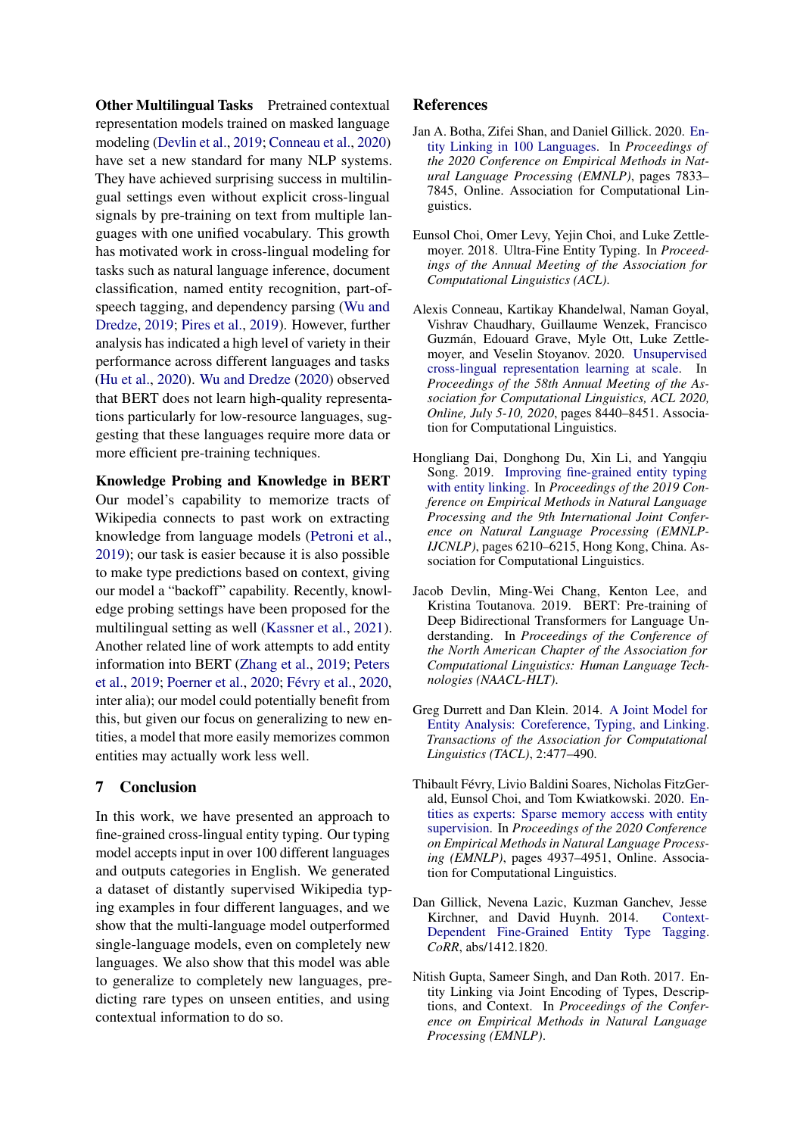**Other Multilingual Tasks** Pretrained contextual representation models trained on masked language modeling [\(Devlin et al.,](#page-8-5) [2019;](#page-8-5) [Conneau et al.,](#page-8-7) [2020\)](#page-8-7) have set a new standard for many NLP systems. They have achieved surprising success in multilingual settings even without explicit cross-lingual signals by pre-training on text from multiple languages with one unified vocabulary. This growth has motivated work in cross-lingual modeling for tasks such as natural language inference, document classification, named entity recognition, part-ofspeech tagging, and dependency parsing [\(Wu and](#page-10-11) [Dredze,](#page-10-11) [2019;](#page-10-11) [Pires et al.,](#page-9-10) [2019\)](#page-9-10). However, further analysis has indicated a high level of variety in their performance across different languages and tasks [\(Hu et al.,](#page-9-11) [2020\)](#page-9-11). [Wu and Dredze](#page-10-8) [\(2020\)](#page-10-8) observed that BERT does not learn high-quality representations particularly for low-resource languages, suggesting that these languages require more data or more efficient pre-training techniques.

Knowledge Probing and Knowledge in BERT Our model's capability to memorize tracts of Wikipedia connects to past work on extracting knowledge from language models [\(Petroni et al.,](#page-9-12) [2019\)](#page-9-12); our task is easier because it is also possible to make type predictions based on context, giving our model a "backoff" capability. Recently, knowledge probing settings have been proposed for the multilingual setting as well [\(Kassner et al.,](#page-9-13) [2021\)](#page-9-13). Another related line of work attempts to add entity information into BERT [\(Zhang et al.,](#page-10-12) [2019;](#page-10-12) [Peters](#page-9-14) [et al.,](#page-9-14) [2019;](#page-9-14) [Poerner et al.,](#page-9-15) [2020;](#page-9-15) [Févry et al.,](#page-8-8) [2020,](#page-8-8) inter alia); our model could potentially benefit from this, but given our focus on generalizing to new entities, a model that more easily memorizes common entities may actually work less well.

## 7 Conclusion

In this work, we have presented an approach to fine-grained cross-lingual entity typing. Our typing model accepts input in over 100 different languages and outputs categories in English. We generated a dataset of distantly supervised Wikipedia typing examples in four different languages, and we show that the multi-language model outperformed single-language models, even on completely new languages. We also show that this model was able to generalize to completely new languages, predicting rare types on unseen entities, and using contextual information to do so.

## References

- <span id="page-8-6"></span>Jan A. Botha, Zifei Shan, and Daniel Gillick. 2020. [En](https://www.aclweb.org/anthology/2020.emnlp-main.630)[tity Linking in 100 Languages.](https://www.aclweb.org/anthology/2020.emnlp-main.630) In *Proceedings of the 2020 Conference on Empirical Methods in Natural Language Processing (EMNLP)*, pages 7833– 7845, Online. Association for Computational Linguistics.
- <span id="page-8-1"></span>Eunsol Choi, Omer Levy, Yejin Choi, and Luke Zettlemoyer. 2018. Ultra-Fine Entity Typing. In *Proceedings of the Annual Meeting of the Association for Computational Linguistics (ACL)*.
- <span id="page-8-7"></span>Alexis Conneau, Kartikay Khandelwal, Naman Goyal, Vishrav Chaudhary, Guillaume Wenzek, Francisco Guzmán, Edouard Grave, Myle Ott, Luke Zettlemoyer, and Veselin Stoyanov. 2020. [Unsupervised](https://doi.org/10.18653/v1/2020.acl-main.747) [cross-lingual representation learning at scale.](https://doi.org/10.18653/v1/2020.acl-main.747) In *Proceedings of the 58th Annual Meeting of the Association for Computational Linguistics, ACL 2020, Online, July 5-10, 2020*, pages 8440–8451. Association for Computational Linguistics.
- <span id="page-8-4"></span>Hongliang Dai, Donghong Du, Xin Li, and Yangqiu Song. 2019. [Improving fine-grained entity typing](https://doi.org/10.18653/v1/D19-1643) [with entity linking.](https://doi.org/10.18653/v1/D19-1643) In *Proceedings of the 2019 Conference on Empirical Methods in Natural Language Processing and the 9th International Joint Conference on Natural Language Processing (EMNLP-IJCNLP)*, pages 6210–6215, Hong Kong, China. Association for Computational Linguistics.
- <span id="page-8-5"></span>Jacob Devlin, Ming-Wei Chang, Kenton Lee, and Kristina Toutanova. 2019. BERT: Pre-training of Deep Bidirectional Transformers for Language Understanding. In *Proceedings of the Conference of the North American Chapter of the Association for Computational Linguistics: Human Language Technologies (NAACL-HLT)*.
- <span id="page-8-2"></span>Greg Durrett and Dan Klein. 2014. [A Joint Model for](https://doi.org/10.1162/tacl_a_00197) [Entity Analysis: Coreference, Typing, and Linking.](https://doi.org/10.1162/tacl_a_00197) *Transactions of the Association for Computational Linguistics (TACL)*, 2:477–490.
- <span id="page-8-8"></span>Thibault Févry, Livio Baldini Soares, Nicholas FitzGerald, Eunsol Choi, and Tom Kwiatkowski. 2020. [En](https://doi.org/10.18653/v1/2020.emnlp-main.400)[tities as experts: Sparse memory access with entity](https://doi.org/10.18653/v1/2020.emnlp-main.400) [supervision.](https://doi.org/10.18653/v1/2020.emnlp-main.400) In *Proceedings of the 2020 Conference on Empirical Methods in Natural Language Processing (EMNLP)*, pages 4937–4951, Online. Association for Computational Linguistics.
- <span id="page-8-0"></span>Dan Gillick, Nevena Lazic, Kuzman Ganchev, Jesse Kirchner, and David Huynh. 2014. [Context-](http://arxiv.org/abs/1412.1820)[Dependent Fine-Grained Entity Type Tagging.](http://arxiv.org/abs/1412.1820) *CoRR*, abs/1412.1820.
- <span id="page-8-3"></span>Nitish Gupta, Sameer Singh, and Dan Roth. 2017. Entity Linking via Joint Encoding of Types, Descriptions, and Context. In *Proceedings of the Conference on Empirical Methods in Natural Language Processing (EMNLP)*.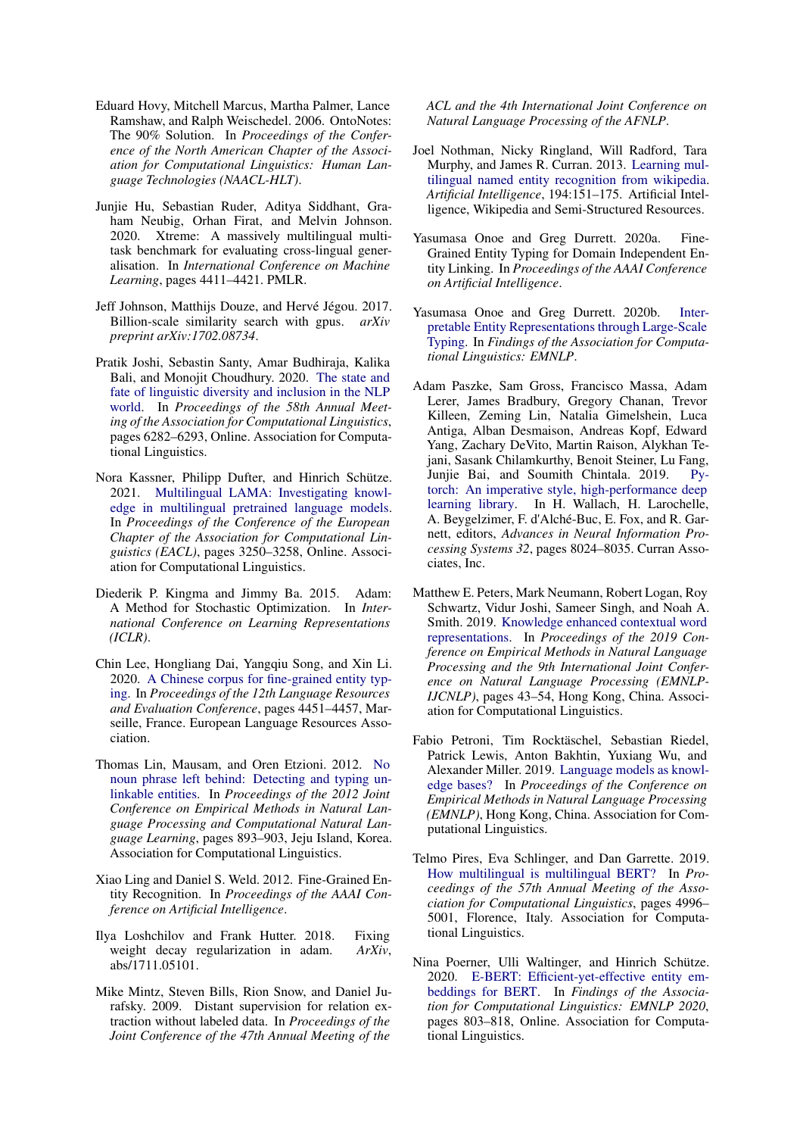- <span id="page-9-8"></span>Eduard Hovy, Mitchell Marcus, Martha Palmer, Lance Ramshaw, and Ralph Weischedel. 2006. OntoNotes: The 90% Solution. In *Proceedings of the Conference of the North American Chapter of the Association for Computational Linguistics: Human Language Technologies (NAACL-HLT)*.
- <span id="page-9-11"></span>Junjie Hu, Sebastian Ruder, Aditya Siddhant, Graham Neubig, Orhan Firat, and Melvin Johnson. 2020. Xtreme: A massively multilingual multitask benchmark for evaluating cross-lingual generalisation. In *International Conference on Machine Learning*, pages 4411–4421. PMLR.
- <span id="page-9-7"></span>Jeff Johnson, Matthijs Douze, and Hervé Jégou. 2017. Billion-scale similarity search with gpus. *arXiv preprint arXiv:1702.08734*.
- <span id="page-9-3"></span>Pratik Joshi, Sebastin Santy, Amar Budhiraja, Kalika Bali, and Monojit Choudhury. 2020. [The state and](https://doi.org/10.18653/v1/2020.acl-main.560) [fate of linguistic diversity and inclusion in the NLP](https://doi.org/10.18653/v1/2020.acl-main.560) [world.](https://doi.org/10.18653/v1/2020.acl-main.560) In *Proceedings of the 58th Annual Meeting of the Association for Computational Linguistics*, pages 6282–6293, Online. Association for Computational Linguistics.
- <span id="page-9-13"></span>Nora Kassner, Philipp Dufter, and Hinrich Schütze. 2021. [Multilingual LAMA: Investigating knowl](https://www.aclweb.org/anthology/2021.eacl-main.284)[edge in multilingual pretrained language models.](https://www.aclweb.org/anthology/2021.eacl-main.284) In *Proceedings of the Conference of the European Chapter of the Association for Computational Linguistics (EACL)*, pages 3250–3258, Online. Association for Computational Linguistics.
- <span id="page-9-16"></span>Diederik P. Kingma and Jimmy Ba. 2015. Adam: A Method for Stochastic Optimization. In *International Conference on Learning Representations (ICLR)*.
- <span id="page-9-2"></span>Chin Lee, Hongliang Dai, Yangqiu Song, and Xin Li. 2020. [A Chinese corpus for fine-grained entity typ](https://www.aclweb.org/anthology/2020.lrec-1.548)[ing.](https://www.aclweb.org/anthology/2020.lrec-1.548) In *Proceedings of the 12th Language Resources and Evaluation Conference*, pages 4451–4457, Marseille, France. European Language Resources Association.
- <span id="page-9-1"></span>Thomas Lin, Mausam, and Oren Etzioni. 2012. [No](https://www.aclweb.org/anthology/D12-1082) [noun phrase left behind: Detecting and typing un](https://www.aclweb.org/anthology/D12-1082)[linkable entities.](https://www.aclweb.org/anthology/D12-1082) In *Proceedings of the 2012 Joint Conference on Empirical Methods in Natural Language Processing and Computational Natural Language Learning*, pages 893–903, Jeju Island, Korea. Association for Computational Linguistics.
- <span id="page-9-0"></span>Xiao Ling and Daniel S. Weld. 2012. Fine-Grained Entity Recognition. In *Proceedings of the AAAI Conference on Artificial Intelligence*.
- <span id="page-9-17"></span>Ilya Loshchilov and Frank Hutter. 2018. Fixing weight decay regularization in adam. *ArXiv*, abs/1711.05101.
- <span id="page-9-4"></span>Mike Mintz, Steven Bills, Rion Snow, and Daniel Jurafsky. 2009. Distant supervision for relation extraction without labeled data. In *Proceedings of the Joint Conference of the 47th Annual Meeting of the*

*ACL and the 4th International Joint Conference on Natural Language Processing of the AFNLP*.

- <span id="page-9-9"></span>Joel Nothman, Nicky Ringland, Will Radford, Tara Murphy, and James R. Curran. 2013. [Learning mul](https://doi.org/https://doi.org/10.1016/j.artint.2012.03.006)[tilingual named entity recognition from wikipedia.](https://doi.org/https://doi.org/10.1016/j.artint.2012.03.006) *Artificial Intelligence*, 194:151–175. Artificial Intelligence, Wikipedia and Semi-Structured Resources.
- <span id="page-9-5"></span>Yasumasa Onoe and Greg Durrett. 2020a. Fine-Grained Entity Typing for Domain Independent Entity Linking. In *Proceedings of the AAAI Conference on Artificial Intelligence*.
- <span id="page-9-6"></span>Yasumasa Onoe and Greg Durrett. 2020b. [Inter](https://www.aclweb.org/anthology/2020.findings-emnlp.54)[pretable Entity Representations through Large-Scale](https://www.aclweb.org/anthology/2020.findings-emnlp.54) [Typing.](https://www.aclweb.org/anthology/2020.findings-emnlp.54) In *Findings of the Association for Computational Linguistics: EMNLP*.
- <span id="page-9-18"></span>Adam Paszke, Sam Gross, Francisco Massa, Adam Lerer, James Bradbury, Gregory Chanan, Trevor Killeen, Zeming Lin, Natalia Gimelshein, Luca Antiga, Alban Desmaison, Andreas Kopf, Edward Yang, Zachary DeVito, Martin Raison, Alykhan Tejani, Sasank Chilamkurthy, Benoit Steiner, Lu Fang, Junjie Bai, and Soumith Chintala. 2019. [Py](http://papers.neurips.cc/paper/9015-pytorch-an-imperative-style-high-performance-deep-learning-library.pdf)[torch: An imperative style, high-performance deep](http://papers.neurips.cc/paper/9015-pytorch-an-imperative-style-high-performance-deep-learning-library.pdf) [learning library.](http://papers.neurips.cc/paper/9015-pytorch-an-imperative-style-high-performance-deep-learning-library.pdf) In H. Wallach, H. Larochelle, A. Beygelzimer, F. d'Alché-Buc, E. Fox, and R. Garnett, editors, *Advances in Neural Information Processing Systems 32*, pages 8024–8035. Curran Associates, Inc.
- <span id="page-9-14"></span>Matthew E. Peters, Mark Neumann, Robert Logan, Roy Schwartz, Vidur Joshi, Sameer Singh, and Noah A. Smith. 2019. [Knowledge enhanced contextual word](https://doi.org/10.18653/v1/D19-1005) [representations.](https://doi.org/10.18653/v1/D19-1005) In *Proceedings of the 2019 Conference on Empirical Methods in Natural Language Processing and the 9th International Joint Conference on Natural Language Processing (EMNLP-IJCNLP)*, pages 43–54, Hong Kong, China. Association for Computational Linguistics.
- <span id="page-9-12"></span>Fabio Petroni, Tim Rocktäschel, Sebastian Riedel, Patrick Lewis, Anton Bakhtin, Yuxiang Wu, and Alexander Miller. 2019. [Language models as knowl](https://www.aclweb.org/anthology/D19-1250)[edge bases?](https://www.aclweb.org/anthology/D19-1250) In *Proceedings of the Conference on Empirical Methods in Natural Language Processing (EMNLP)*, Hong Kong, China. Association for Computational Linguistics.
- <span id="page-9-10"></span>Telmo Pires, Eva Schlinger, and Dan Garrette. 2019. [How multilingual is multilingual BERT?](https://doi.org/10.18653/v1/P19-1493) In *Proceedings of the 57th Annual Meeting of the Association for Computational Linguistics*, pages 4996– 5001, Florence, Italy. Association for Computational Linguistics.
- <span id="page-9-15"></span>Nina Poerner, Ulli Waltinger, and Hinrich Schütze. 2020. [E-BERT: Efficient-yet-effective entity em](https://doi.org/10.18653/v1/2020.findings-emnlp.71)[beddings for BERT.](https://doi.org/10.18653/v1/2020.findings-emnlp.71) In *Findings of the Association for Computational Linguistics: EMNLP 2020*, pages 803–818, Online. Association for Computational Linguistics.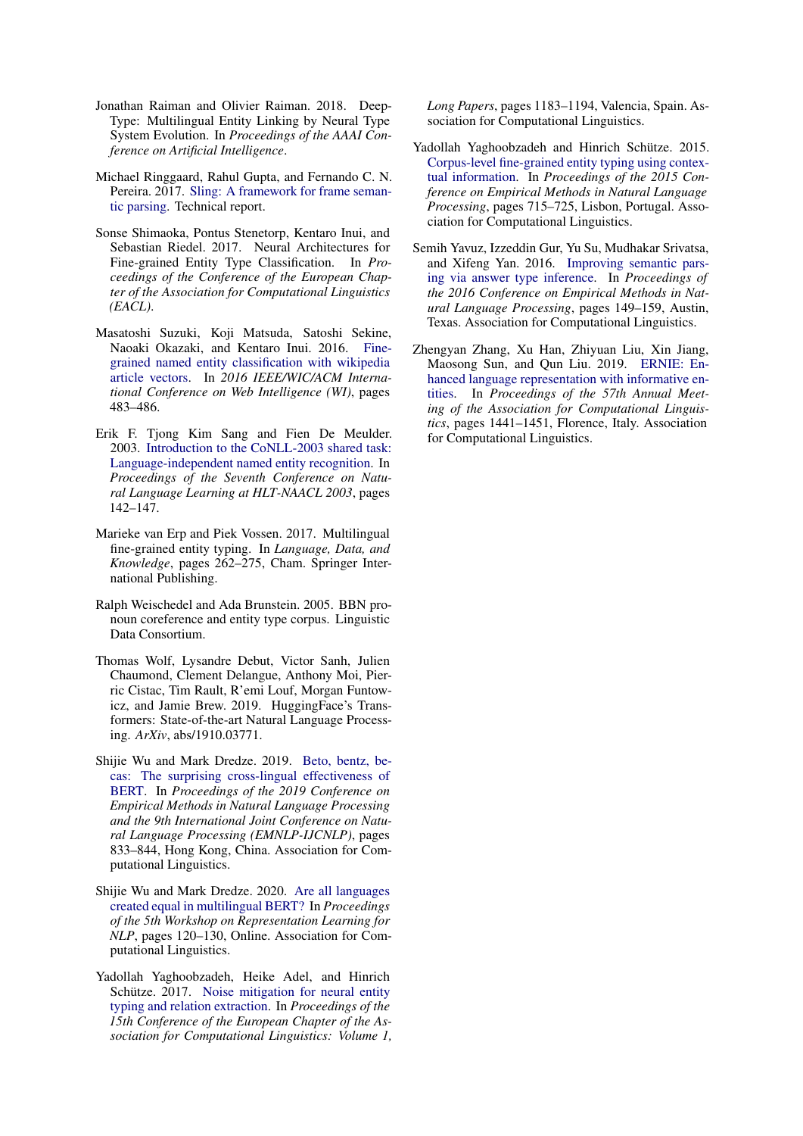- <span id="page-10-1"></span>Jonathan Raiman and Olivier Raiman. 2018. Deep-Type: Multilingual Entity Linking by Neural Type System Evolution. In *Proceedings of the AAAI Conference on Artificial Intelligence*.
- <span id="page-10-7"></span>Michael Ringgaard, Rahul Gupta, and Fernando C. N. Pereira. 2017. [Sling: A framework for frame seman](https://arxiv.org/abs/1710.07032)[tic parsing.](https://arxiv.org/abs/1710.07032) Technical report.
- <span id="page-10-5"></span>Sonse Shimaoka, Pontus Stenetorp, Kentaro Inui, and Sebastian Riedel. 2017. Neural Architectures for Fine-grained Entity Type Classification. In *Proceedings of the Conference of the European Chapter of the Association for Computational Linguistics (EACL)*.
- <span id="page-10-10"></span>Masatoshi Suzuki, Koji Matsuda, Satoshi Sekine, Naoaki Okazaki, and Kentaro Inui. 2016. [Fine](https://doi.org/10.1109/WI.2016.0080)[grained named entity classification with wikipedia](https://doi.org/10.1109/WI.2016.0080) [article vectors.](https://doi.org/10.1109/WI.2016.0080) In *2016 IEEE/WIC/ACM International Conference on Web Intelligence (WI)*, pages 483–486.
- <span id="page-10-9"></span>Erik F. Tjong Kim Sang and Fien De Meulder. 2003. [Introduction to the CoNLL-2003 shared task:](https://www.aclweb.org/anthology/W03-0419) [Language-independent named entity recognition.](https://www.aclweb.org/anthology/W03-0419) In *Proceedings of the Seventh Conference on Natural Language Learning at HLT-NAACL 2003*, pages 142–147.
- <span id="page-10-6"></span>Marieke van Erp and Piek Vossen. 2017. Multilingual fine-grained entity typing. In *Language, Data, and Knowledge*, pages 262–275, Cham. Springer International Publishing.
- <span id="page-10-0"></span>Ralph Weischedel and Ada Brunstein. 2005. BBN pronoun coreference and entity type corpus. Linguistic Data Consortium.
- <span id="page-10-13"></span>Thomas Wolf, Lysandre Debut, Victor Sanh, Julien Chaumond, Clement Delangue, Anthony Moi, Pierric Cistac, Tim Rault, R'emi Louf, Morgan Funtowicz, and Jamie Brew. 2019. HuggingFace's Transformers: State-of-the-art Natural Language Processing. *ArXiv*, abs/1910.03771.
- <span id="page-10-11"></span>Shijie Wu and Mark Dredze. 2019. [Beto, bentz, be](https://doi.org/10.18653/v1/D19-1077)[cas: The surprising cross-lingual effectiveness of](https://doi.org/10.18653/v1/D19-1077) [BERT.](https://doi.org/10.18653/v1/D19-1077) In *Proceedings of the 2019 Conference on Empirical Methods in Natural Language Processing and the 9th International Joint Conference on Natural Language Processing (EMNLP-IJCNLP)*, pages 833–844, Hong Kong, China. Association for Computational Linguistics.
- <span id="page-10-8"></span>Shijie Wu and Mark Dredze. 2020. [Are all languages](https://doi.org/10.18653/v1/2020.repl4nlp-1.16) [created equal in multilingual BERT?](https://doi.org/10.18653/v1/2020.repl4nlp-1.16) In *Proceedings of the 5th Workshop on Representation Learning for NLP*, pages 120–130, Online. Association for Computational Linguistics.
- <span id="page-10-2"></span>Yadollah Yaghoobzadeh, Heike Adel, and Hinrich Schütze. 2017. [Noise mitigation for neural entity](https://www.aclweb.org/anthology/E17-1111) [typing and relation extraction.](https://www.aclweb.org/anthology/E17-1111) In *Proceedings of the 15th Conference of the European Chapter of the Association for Computational Linguistics: Volume 1,*

*Long Papers*, pages 1183–1194, Valencia, Spain. Association for Computational Linguistics.

- <span id="page-10-4"></span>Yadollah Yaghoobzadeh and Hinrich Schütze. 2015. [Corpus-level fine-grained entity typing using contex](https://doi.org/10.18653/v1/D15-1083)[tual information.](https://doi.org/10.18653/v1/D15-1083) In *Proceedings of the 2015 Conference on Empirical Methods in Natural Language Processing*, pages 715–725, Lisbon, Portugal. Association for Computational Linguistics.
- <span id="page-10-3"></span>Semih Yavuz, Izzeddin Gur, Yu Su, Mudhakar Srivatsa, and Xifeng Yan. 2016. [Improving semantic pars](https://doi.org/10.18653/v1/D16-1015)[ing via answer type inference.](https://doi.org/10.18653/v1/D16-1015) In *Proceedings of the 2016 Conference on Empirical Methods in Natural Language Processing*, pages 149–159, Austin, Texas. Association for Computational Linguistics.
- <span id="page-10-12"></span>Zhengyan Zhang, Xu Han, Zhiyuan Liu, Xin Jiang, Maosong Sun, and Qun Liu. 2019. [ERNIE: En](https://doi.org/10.18653/v1/P19-1139)[hanced language representation with informative en](https://doi.org/10.18653/v1/P19-1139)[tities.](https://doi.org/10.18653/v1/P19-1139) In *Proceedings of the 57th Annual Meeting of the Association for Computational Linguistics*, pages 1441–1451, Florence, Italy. Association for Computational Linguistics.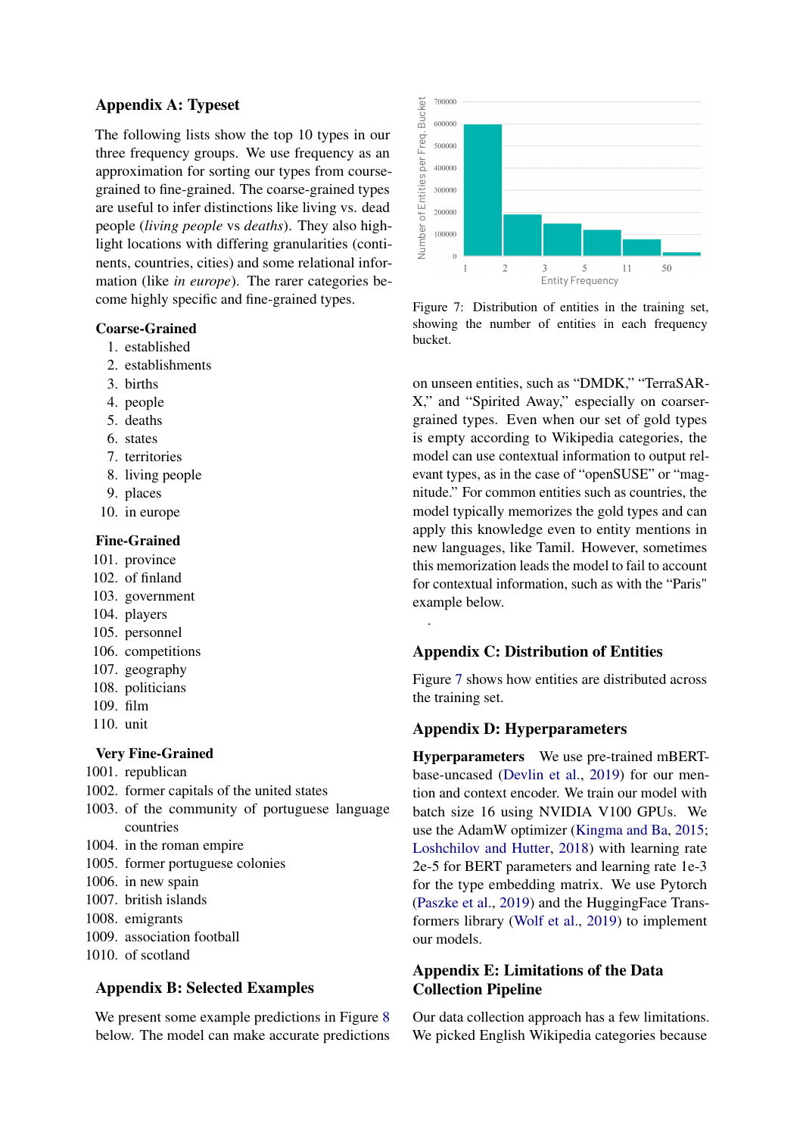## Appendix A: Typeset

The following lists show the top 10 types in our three frequency groups. We use frequency as an approximation for sorting our types from coursegrained to fine-grained. The coarse-grained types are useful to infer distinctions like living vs. dead people (*living people* vs *deaths*). They also highlight locations with differing granularities (continents, countries, cities) and some relational information (like *in europe*). The rarer categories become highly specific and fine-grained types.

#### Coarse-Grained

- 1. established
- 2. establishments
- 3. births
- 4. people
- 5. deaths
- 6. states
- 7. territories
- 8. living people
- 9. places
- 10. in europe

#### Fine-Grained

- 101. province
- 102. of finland
- 103. government
- 104. players
- 105. personnel
- 106. competitions
- 107. geography
- 108. politicians
- 109. film
- 110. unit

## Very Fine-Grained

- 1001. republican
- 1002. former capitals of the united states
- 1003. of the community of portuguese language countries
- 1004. in the roman empire
- 1005. former portuguese colonies
- 1006. in new spain
- 1007. british islands
- 1008. emigrants
- 1009. association football
- 1010. of scotland

# Appendix B: Selected Examples

We present some example predictions in Figure [8](#page-12-0) below. The model can make accurate predictions

<span id="page-11-0"></span>

Figure 7: Distribution of entities in the training set, showing the number of entities in each frequency bucket.

on unseen entities, such as "DMDK," "TerraSAR-X," and "Spirited Away," especially on coarsergrained types. Even when our set of gold types is empty according to Wikipedia categories, the model can use contextual information to output relevant types, as in the case of "openSUSE" or "magnitude." For common entities such as countries, the model typically memorizes the gold types and can apply this knowledge even to entity mentions in new languages, like Tamil. However, sometimes this memorization leads the model to fail to account for contextual information, such as with the "Paris" example below.

# Appendix C: Distribution of Entities

Figure [7](#page-11-0) shows how entities are distributed across the training set.

# Appendix D: Hyperparameters

.

Hyperparameters We use pre-trained mBERTbase-uncased [\(Devlin et al.,](#page-8-5) [2019\)](#page-8-5) for our mention and context encoder. We train our model with batch size 16 using NVIDIA V100 GPUs. We use the AdamW optimizer [\(Kingma and Ba,](#page-9-16) [2015;](#page-9-16) [Loshchilov and Hutter,](#page-9-17) [2018\)](#page-9-17) with learning rate 2e-5 for BERT parameters and learning rate 1e-3 for the type embedding matrix. We use Pytorch [\(Paszke et al.,](#page-9-18) [2019\)](#page-9-18) and the HuggingFace Transformers library [\(Wolf et al.,](#page-10-13) [2019\)](#page-10-13) to implement our models.

# Appendix E: Limitations of the Data Collection Pipeline

Our data collection approach has a few limitations. We picked English Wikipedia categories because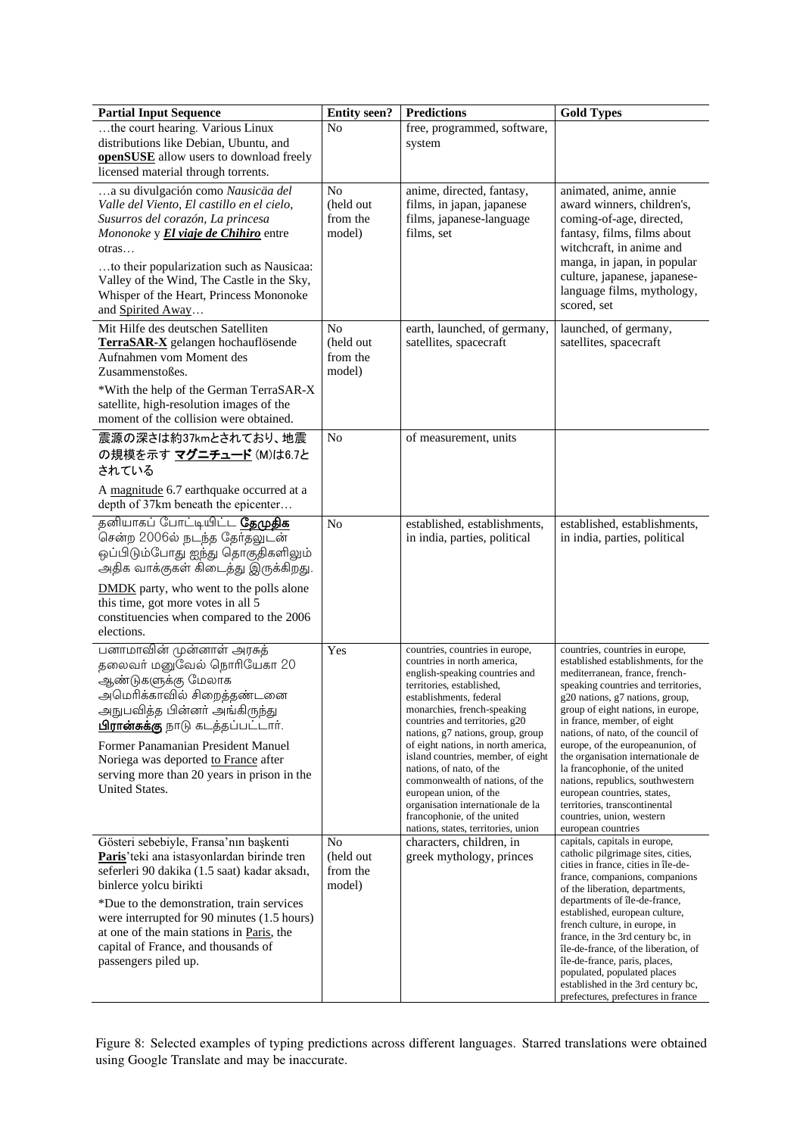<span id="page-12-0"></span>

| <b>Partial Input Sequence</b>                                                                                                                                                                                                                                                                                                                                           | <b>Entity seen?</b>                               | <b>Predictions</b>                                                                                                                                                                                                                                                                                                                                                                                                                                                                                                                              | <b>Gold Types</b>                                                                                                                                                                                                                                                                                                                                                                                                                                                                                                                                                 |
|-------------------------------------------------------------------------------------------------------------------------------------------------------------------------------------------------------------------------------------------------------------------------------------------------------------------------------------------------------------------------|---------------------------------------------------|-------------------------------------------------------------------------------------------------------------------------------------------------------------------------------------------------------------------------------------------------------------------------------------------------------------------------------------------------------------------------------------------------------------------------------------------------------------------------------------------------------------------------------------------------|-------------------------------------------------------------------------------------------------------------------------------------------------------------------------------------------------------------------------------------------------------------------------------------------------------------------------------------------------------------------------------------------------------------------------------------------------------------------------------------------------------------------------------------------------------------------|
| the court hearing. Various Linux<br>distributions like Debian, Ubuntu, and<br>openSUSE allow users to download freely<br>licensed material through torrents.                                                                                                                                                                                                            | No                                                | free, programmed, software,<br>system                                                                                                                                                                                                                                                                                                                                                                                                                                                                                                           |                                                                                                                                                                                                                                                                                                                                                                                                                                                                                                                                                                   |
| a su divulgación como Nausicäa del<br>Valle del Viento, El castillo en el cielo,<br>Susurros del corazón, La princesa<br>Mononoke y El viaje de Chihiro entre<br>otras<br>to their popularization such as Nausicaa:<br>Valley of the Wind, The Castle in the Sky,<br>Whisper of the Heart, Princess Mononoke<br>and Spirited Away                                       | No<br>(held out<br>from the<br>model)             | anime, directed, fantasy,<br>films, in japan, japanese<br>films, japanese-language<br>films, set                                                                                                                                                                                                                                                                                                                                                                                                                                                | animated, anime, annie<br>award winners, children's,<br>coming-of-age, directed,<br>fantasy, films, films about<br>witchcraft, in anime and<br>manga, in japan, in popular<br>culture, japanese, japanese-<br>language films, mythology,<br>scored, set                                                                                                                                                                                                                                                                                                           |
| Mit Hilfe des deutschen Satelliten<br>TerraSAR-X gelangen hochauflösende<br>Aufnahmen vom Moment des<br>Zusammenstoßes.<br>*With the help of the German TerraSAR-X<br>satellite, high-resolution images of the<br>moment of the collision were obtained.                                                                                                                | N <sub>0</sub><br>(held out<br>from the<br>model) | earth, launched, of germany,<br>satellites, spacecraft                                                                                                                                                                                                                                                                                                                                                                                                                                                                                          | launched, of germany,<br>satellites, spacecraft                                                                                                                                                                                                                                                                                                                                                                                                                                                                                                                   |
| 震源の深さは約37kmとされており、地震<br>の規模を示す マグニチュード (M)は6.7と<br>されている<br>A magnitude 6.7 earthquake occurred at a<br>depth of 37km beneath the epicenter                                                                                                                                                                                                                             | N <sub>0</sub>                                    | of measurement, units                                                                                                                                                                                                                                                                                                                                                                                                                                                                                                                           |                                                                                                                                                                                                                                                                                                                                                                                                                                                                                                                                                                   |
| தனியாகப் போட்டியிட்ட <b>தேமுதிக</b><br>சென்ற 2006ல் நடந்த தேர்தலுடன்<br>ஒப்பிடும்போது ஐந்து தொகுதிகளிலும்<br>அதிக வாக்குகள் கிடைத்து இருக்கிறது.<br><b>DMDK</b> party, who went to the polls alone<br>this time, got more votes in all 5                                                                                                                                | N <sub>o</sub>                                    | established, establishments,<br>in india, parties, political                                                                                                                                                                                                                                                                                                                                                                                                                                                                                    | established, establishments,<br>in india, parties, political                                                                                                                                                                                                                                                                                                                                                                                                                                                                                                      |
| constituencies when compared to the 2006<br>elections.                                                                                                                                                                                                                                                                                                                  |                                                   |                                                                                                                                                                                                                                                                                                                                                                                                                                                                                                                                                 |                                                                                                                                                                                                                                                                                                                                                                                                                                                                                                                                                                   |
| பனாமாவின் முன்னாள் அரசுத்<br>தலைவர் மனுவேல் நொரியேகா 20<br>ஆண்டுகளுக்கு மேலாக<br>அமெரிக்காவில் சிறைத்தண்டனை<br>அநுபவித்த பின்னா் அங்கிருந்து<br>பிரான்சுக்கு நாடு கடத்தப்பட்டார்.<br>Former Panamanian President Manuel<br>Noriega was deported to France after<br>serving more than 20 years in prison in the<br><b>United States.</b>                                 | Yes                                               | countries, countries in europe,<br>countries in north america,<br>english-speaking countries and<br>territories, established,<br>establishments, federal<br>monarchies, french-speaking<br>countries and territories, g20<br>nations, g7 nations, group, group<br>of eight nations, in north america,<br>island countries, member, of eight<br>nations, of nato, of the<br>commonwealth of nations, of the<br>european union, of the<br>organisation internationale de la<br>francophonie, of the united<br>nations, states, territories, union | countries, countries in europe,<br>established establishments, for the<br>mediterranean, france, french-<br>speaking countries and territories,<br>g20 nations, g7 nations, group,<br>group of eight nations, in europe,<br>in france, member, of eight<br>nations, of nato, of the council of<br>europe, of the europeanunion, of<br>the organisation internationale de<br>la francophonie, of the united<br>nations, republics, southwestern<br>european countries, states,<br>territories, transcontinental<br>countries, union, western<br>european countries |
| Gösteri sebebiyle, Fransa'nın başkenti<br>Paris' teki ana istasyonlardan birinde tren<br>seferleri 90 dakika (1.5 saat) kadar aksadı,<br>binlerce yolcu birikti<br>*Due to the demonstration, train services<br>were interrupted for 90 minutes (1.5 hours)<br>at one of the main stations in Paris, the<br>capital of France, and thousands of<br>passengers piled up. | No<br>(held out<br>from the<br>model)             | characters, children, in<br>greek mythology, princes                                                                                                                                                                                                                                                                                                                                                                                                                                                                                            | capitals, capitals in europe,<br>catholic pilgrimage sites, cities,<br>cities in france, cities in île-de-<br>france, companions, companions<br>of the liberation, departments,<br>departments of île-de-france,<br>established, european culture,<br>french culture, in europe, in<br>france, in the 3rd century bc, in<br>île-de-france, of the liberation, of<br>île-de-france, paris, places,<br>populated, populated places<br>established in the 3rd century bc,<br>prefectures, prefectures in france                                                      |

Figure 8: Selected examples of typing predictions across different languages. Starred translations were obtained using Google Translate and may be inaccurate.